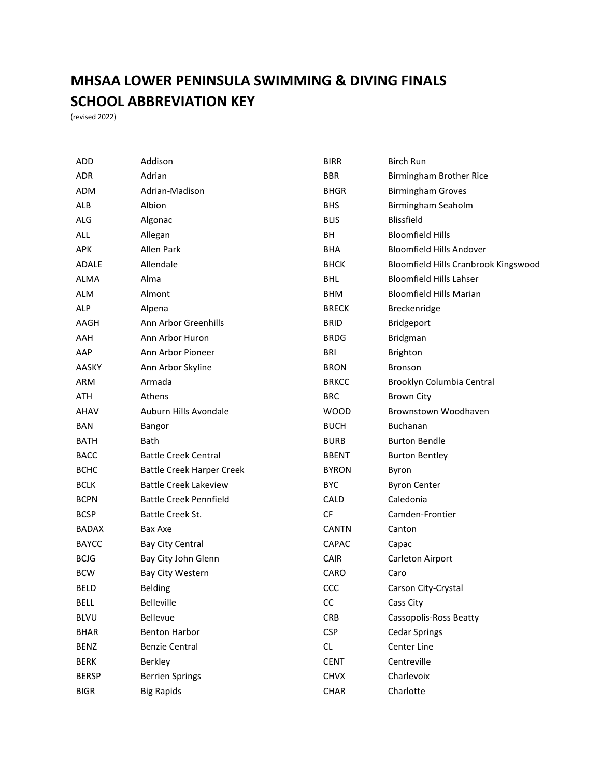## **MHSAA LOWER PENINSULA SWIMMING & DIVING FINALS SCHOOL ABBREVIATION KEY**

(revised 2022)

| <b>ADD</b>   | Addison                          | <b>BIRR</b>  | <b>Birch Run</b>                     |
|--------------|----------------------------------|--------------|--------------------------------------|
| <b>ADR</b>   | Adrian                           | <b>BBR</b>   | Birmingham Brother Rice              |
| <b>ADM</b>   | Adrian-Madison                   | <b>BHGR</b>  | <b>Birmingham Groves</b>             |
| <b>ALB</b>   | Albion                           | <b>BHS</b>   | Birmingham Seaholm                   |
| <b>ALG</b>   | Algonac                          | <b>BLIS</b>  | <b>Blissfield</b>                    |
| ALL          | Allegan                          | BH           | <b>Bloomfield Hills</b>              |
| <b>APK</b>   | Allen Park                       | <b>BHA</b>   | <b>Bloomfield Hills Andover</b>      |
| <b>ADALE</b> | Allendale                        | <b>BHCK</b>  | Bloomfield Hills Cranbrook Kingswood |
| <b>ALMA</b>  | Alma                             | <b>BHL</b>   | <b>Bloomfield Hills Lahser</b>       |
| <b>ALM</b>   | Almont                           | <b>BHM</b>   | <b>Bloomfield Hills Marian</b>       |
| <b>ALP</b>   | Alpena                           | <b>BRECK</b> | Breckenridge                         |
| AAGH         | Ann Arbor Greenhills             | <b>BRID</b>  | Bridgeport                           |
| AAH          | Ann Arbor Huron                  | <b>BRDG</b>  | <b>Bridgman</b>                      |
| AAP          | Ann Arbor Pioneer                | <b>BRI</b>   | Brighton                             |
| AASKY        | Ann Arbor Skyline                | <b>BRON</b>  | <b>Bronson</b>                       |
| ARM          | Armada                           | <b>BRKCC</b> | Brooklyn Columbia Central            |
| ATH          | Athens                           | <b>BRC</b>   | <b>Brown City</b>                    |
| AHAV         | Auburn Hills Avondale            | <b>WOOD</b>  | Brownstown Woodhaven                 |
| <b>BAN</b>   | Bangor                           | <b>BUCH</b>  | <b>Buchanan</b>                      |
| <b>BATH</b>  | Bath                             | <b>BURB</b>  | <b>Burton Bendle</b>                 |
| <b>BACC</b>  | <b>Battle Creek Central</b>      | <b>BBENT</b> | <b>Burton Bentley</b>                |
| <b>BCHC</b>  | <b>Battle Creek Harper Creek</b> | <b>BYRON</b> | Byron                                |
| <b>BCLK</b>  | <b>Battle Creek Lakeview</b>     | <b>BYC</b>   | <b>Byron Center</b>                  |
| <b>BCPN</b>  | <b>Battle Creek Pennfield</b>    | <b>CALD</b>  | Caledonia                            |
| <b>BCSP</b>  | Battle Creek St.                 | <b>CF</b>    | Camden-Frontier                      |
| <b>BADAX</b> | Bax Axe                          | <b>CANTN</b> | Canton                               |
| <b>BAYCC</b> | Bay City Central                 | CAPAC        | Capac                                |
| <b>BCJG</b>  | Bay City John Glenn              | <b>CAIR</b>  | Carleton Airport                     |
| <b>BCW</b>   | Bay City Western                 | CARO         | Caro                                 |
| <b>BELD</b>  | <b>Belding</b>                   | CCC          | Carson City-Crystal                  |
| <b>BELL</b>  | <b>Belleville</b>                | CC           | Cass City                            |
| <b>BLVU</b>  | Bellevue                         | <b>CRB</b>   | <b>Cassopolis-Ross Beatty</b>        |
| <b>BHAR</b>  | <b>Benton Harbor</b>             | <b>CSP</b>   | <b>Cedar Springs</b>                 |
| <b>BENZ</b>  | <b>Benzie Central</b>            | <b>CL</b>    | Center Line                          |
| <b>BERK</b>  | Berkley                          | <b>CENT</b>  | Centreville                          |
| <b>BERSP</b> | <b>Berrien Springs</b>           | <b>CHVX</b>  | Charlevoix                           |
| <b>BIGR</b>  | <b>Big Rapids</b>                | CHAR         | Charlotte                            |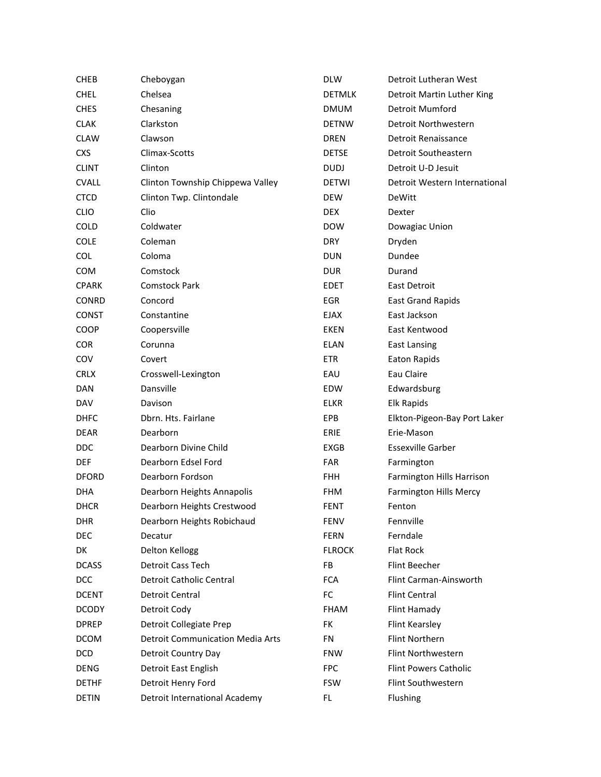| <b>CHEB</b>  | Cheboygan                               | <b>DLW</b>    | Detroit Lutheran West         |
|--------------|-----------------------------------------|---------------|-------------------------------|
| <b>CHEL</b>  | Chelsea                                 | <b>DETMLK</b> | Detroit Martin Luther King    |
| <b>CHES</b>  | Chesaning                               | <b>DMUM</b>   | Detroit Mumford               |
| <b>CLAK</b>  | Clarkston                               | <b>DETNW</b>  | Detroit Northwestern          |
| <b>CLAW</b>  | Clawson                                 | DREN          | Detroit Renaissance           |
| <b>CXS</b>   | Climax-Scotts                           | <b>DETSE</b>  | Detroit Southeastern          |
| <b>CLINT</b> | Clinton                                 | <b>DUDJ</b>   | Detroit U-D Jesuit            |
| <b>CVALL</b> | Clinton Township Chippewa Valley        | <b>DETWI</b>  | Detroit Western International |
| <b>CTCD</b>  | Clinton Twp. Clintondale                | DEW           | <b>DeWitt</b>                 |
| <b>CLIO</b>  | Clio                                    | <b>DEX</b>    | Dexter                        |
| <b>COLD</b>  | Coldwater                               | <b>DOW</b>    | Dowagiac Union                |
| COLE         | Coleman                                 | <b>DRY</b>    | Dryden                        |
| <b>COL</b>   | Coloma                                  | <b>DUN</b>    | Dundee                        |
| <b>COM</b>   | Comstock                                | <b>DUR</b>    | Durand                        |
| <b>CPARK</b> | <b>Comstock Park</b>                    | <b>EDET</b>   | <b>East Detroit</b>           |
| <b>CONRD</b> | Concord                                 | <b>EGR</b>    | <b>East Grand Rapids</b>      |
| <b>CONST</b> | Constantine                             | EJAX          | East Jackson                  |
| COOP         | Coopersville                            | <b>EKEN</b>   | East Kentwood                 |
| <b>COR</b>   | Corunna                                 | <b>ELAN</b>   | <b>East Lansing</b>           |
| COV          | Covert                                  | <b>ETR</b>    | <b>Eaton Rapids</b>           |
| <b>CRLX</b>  | Crosswell-Lexington                     | EAU           | Eau Claire                    |
| <b>DAN</b>   | Dansville                               | <b>EDW</b>    | Edwardsburg                   |
| <b>DAV</b>   | Davison                                 | <b>ELKR</b>   | Elk Rapids                    |
| <b>DHFC</b>  | Dbrn. Hts. Fairlane                     | EPB           | Elkton-Pigeon-Bay Port Laker  |
| <b>DEAR</b>  | Dearborn                                | <b>ERIE</b>   | Erie-Mason                    |
| <b>DDC</b>   | Dearborn Divine Child                   | EXGB          | <b>Essexville Garber</b>      |
| <b>DEF</b>   | Dearborn Edsel Ford                     | <b>FAR</b>    | Farmington                    |
| <b>DFORD</b> | Dearborn Fordson                        | <b>FHH</b>    | Farmington Hills Harrison     |
| <b>DHA</b>   | Dearborn Heights Annapolis              | <b>FHM</b>    | <b>Farmington Hills Mercy</b> |
| <b>DHCR</b>  | Dearborn Heights Crestwood              | <b>FENT</b>   | Fenton                        |
| <b>DHR</b>   | Dearborn Heights Robichaud              | <b>FENV</b>   | Fennville                     |
| <b>DEC</b>   | Decatur                                 | <b>FERN</b>   | Ferndale                      |
| DK           | Delton Kellogg                          | <b>FLROCK</b> | Flat Rock                     |
| <b>DCASS</b> | Detroit Cass Tech                       | FB            | Flint Beecher                 |
| <b>DCC</b>   | Detroit Catholic Central                | <b>FCA</b>    | Flint Carman-Ainsworth        |
| <b>DCENT</b> | Detroit Central                         | FC            | <b>Flint Central</b>          |
| <b>DCODY</b> | Detroit Cody                            | <b>FHAM</b>   | Flint Hamady                  |
| <b>DPREP</b> | Detroit Collegiate Prep                 | FK            | <b>Flint Kearsley</b>         |
| <b>DCOM</b>  | <b>Detroit Communication Media Arts</b> | <b>FN</b>     | Flint Northern                |
| <b>DCD</b>   | Detroit Country Day                     | <b>FNW</b>    | Flint Northwestern            |
| DENG         | Detroit East English                    | <b>FPC</b>    | <b>Flint Powers Catholic</b>  |
| <b>DETHF</b> | Detroit Henry Ford                      | <b>FSW</b>    | Flint Southwestern            |
| <b>DETIN</b> | <b>Detroit International Academy</b>    | FL            | Flushing                      |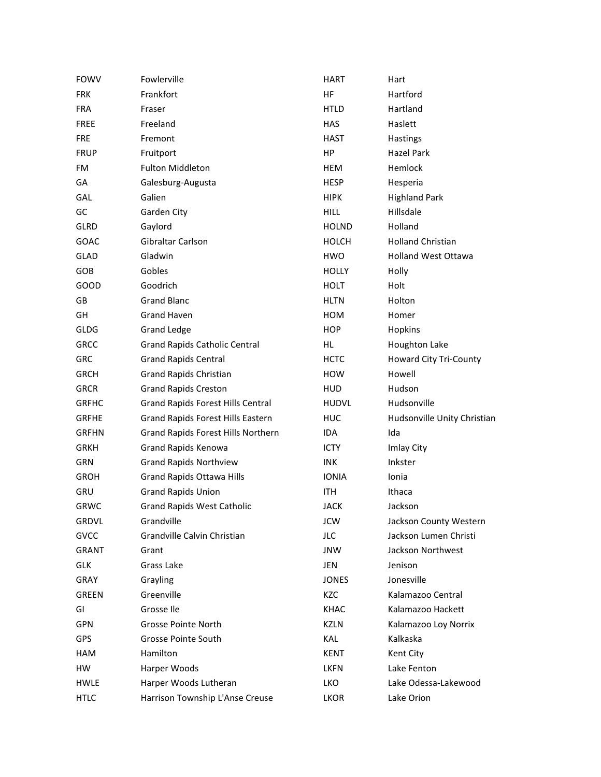| <b>FOWV</b>  | Fowlerville                              | <b>HART</b>  | Hart                          |
|--------------|------------------------------------------|--------------|-------------------------------|
| <b>FRK</b>   | Frankfort                                | HF           | Hartford                      |
| <b>FRA</b>   | Fraser                                   | <b>HTLD</b>  | Hartland                      |
| <b>FREE</b>  | Freeland                                 | <b>HAS</b>   | Haslett                       |
| <b>FRE</b>   | Fremont                                  | <b>HAST</b>  | <b>Hastings</b>               |
| <b>FRUP</b>  | Fruitport                                | HP           | Hazel Park                    |
| FM           | <b>Fulton Middleton</b>                  | <b>HEM</b>   | Hemlock                       |
| GA           | Galesburg-Augusta                        | <b>HESP</b>  | Hesperia                      |
| GAL          | Galien                                   | <b>HIPK</b>  | <b>Highland Park</b>          |
| GC           | Garden City                              | <b>HILL</b>  | Hillsdale                     |
| <b>GLRD</b>  | Gaylord                                  | <b>HOLND</b> | Holland                       |
| <b>GOAC</b>  | Gibraltar Carlson                        | <b>HOLCH</b> | <b>Holland Christian</b>      |
| <b>GLAD</b>  | Gladwin                                  | HWO          | <b>Holland West Ottawa</b>    |
| GOB          | Gobles                                   | <b>HOLLY</b> | Holly                         |
| GOOD         | Goodrich                                 | <b>HOLT</b>  | Holt                          |
| GB           | <b>Grand Blanc</b>                       | <b>HLTN</b>  | Holton                        |
| GH           | <b>Grand Haven</b>                       | HOM          | Homer                         |
| <b>GLDG</b>  | <b>Grand Ledge</b>                       | <b>HOP</b>   | Hopkins                       |
| <b>GRCC</b>  | <b>Grand Rapids Catholic Central</b>     | HL.          | Houghton Lake                 |
| GRC          | <b>Grand Rapids Central</b>              | <b>HCTC</b>  | <b>Howard City Tri-County</b> |
| <b>GRCH</b>  | <b>Grand Rapids Christian</b>            | <b>HOW</b>   | Howell                        |
| <b>GRCR</b>  | <b>Grand Rapids Creston</b>              | <b>HUD</b>   | Hudson                        |
| <b>GRFHC</b> | <b>Grand Rapids Forest Hills Central</b> | <b>HUDVL</b> | Hudsonville                   |
| <b>GRFHE</b> | <b>Grand Rapids Forest Hills Eastern</b> | HUC          | Hudsonville Unity Christian   |
| <b>GRFHN</b> | Grand Rapids Forest Hills Northern       | <b>IDA</b>   | Ida                           |
| <b>GRKH</b>  | Grand Rapids Kenowa                      | <b>ICTY</b>  | Imlay City                    |
| GRN          | <b>Grand Rapids Northview</b>            | <b>INK</b>   | Inkster                       |
| <b>GROH</b>  | <b>Grand Rapids Ottawa Hills</b>         | <b>IONIA</b> | Ionia                         |
| <b>GRU</b>   | <b>Grand Rapids Union</b>                | ITH.         | Ithaca                        |
| <b>GRWC</b>  | <b>Grand Rapids West Catholic</b>        | <b>JACK</b>  | Jackson                       |
| <b>GRDVL</b> | Grandville                               | <b>JCW</b>   | Jackson County Western        |
| GVCC         | Grandville Calvin Christian              | <b>JLC</b>   | Jackson Lumen Christi         |
| <b>GRANT</b> | Grant                                    | <b>JNW</b>   | Jackson Northwest             |
| <b>GLK</b>   | Grass Lake                               | <b>JEN</b>   | Jenison                       |
| GRAY         | Grayling                                 | <b>JONES</b> | Jonesville                    |
| <b>GREEN</b> | Greenville                               | KZC          | Kalamazoo Central             |
| GI           | Grosse Ile                               | <b>KHAC</b>  | Kalamazoo Hackett             |
| <b>GPN</b>   | Grosse Pointe North                      | <b>KZLN</b>  | Kalamazoo Loy Norrix          |
| <b>GPS</b>   | Grosse Pointe South                      | KAL          | Kalkaska                      |
| <b>HAM</b>   | Hamilton                                 | <b>KENT</b>  | Kent City                     |
| HW           | Harper Woods                             | <b>LKFN</b>  | Lake Fenton                   |
| <b>HWLE</b>  | Harper Woods Lutheran                    | LKO          | Lake Odessa-Lakewood          |
| <b>HTLC</b>  | Harrison Township L'Anse Creuse          | LKOR         | Lake Orion                    |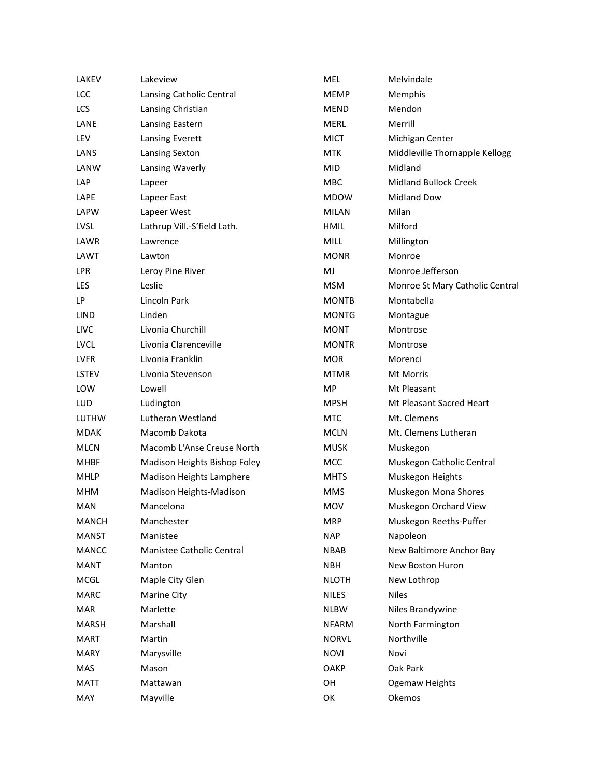| LAKEV        | Lakeview                     | MEL          | Melvindale                      |
|--------------|------------------------------|--------------|---------------------------------|
| <b>LCC</b>   | Lansing Catholic Central     | <b>MEMP</b>  | Memphis                         |
| LCS          | Lansing Christian            | <b>MEND</b>  | Mendon                          |
| LANE         | Lansing Eastern              | <b>MERL</b>  | Merrill                         |
| LEV          | Lansing Everett              | <b>MICT</b>  | Michigan Center                 |
| LANS         | Lansing Sexton               | <b>MTK</b>   | Middleville Thornapple Kellogg  |
| LANW         | Lansing Waverly              | <b>MID</b>   | Midland                         |
| LAP          | Lapeer                       | MBC          | <b>Midland Bullock Creek</b>    |
| LAPE         | Lapeer East                  | <b>MDOW</b>  | <b>Midland Dow</b>              |
| <b>LAPW</b>  | Lapeer West                  | <b>MILAN</b> | Milan                           |
| <b>LVSL</b>  | Lathrup Vill.-S'field Lath.  | <b>HMIL</b>  | Milford                         |
| LAWR         | Lawrence                     | MILL         | Millington                      |
| LAWT         | Lawton                       | <b>MONR</b>  | Monroe                          |
| <b>LPR</b>   | Leroy Pine River             | MJ           | Monroe Jefferson                |
| LES          | Leslie                       | <b>MSM</b>   | Monroe St Mary Catholic Central |
| LP           | Lincoln Park                 | <b>MONTB</b> | Montabella                      |
| <b>LIND</b>  | Linden                       | <b>MONTG</b> | Montague                        |
| <b>LIVC</b>  | Livonia Churchill            | <b>MONT</b>  | Montrose                        |
| <b>LVCL</b>  | Livonia Clarenceville        | <b>MONTR</b> | Montrose                        |
| <b>LVFR</b>  | Livonia Franklin             | <b>MOR</b>   | Morenci                         |
| <b>LSTEV</b> | Livonia Stevenson            | <b>MTMR</b>  | Mt Morris                       |
| LOW          | Lowell                       | MP           | Mt Pleasant                     |
| LUD          | Ludington                    | <b>MPSH</b>  | Mt Pleasant Sacred Heart        |
| <b>LUTHW</b> | Lutheran Westland            | <b>MTC</b>   | Mt. Clemens                     |
| <b>MDAK</b>  | Macomb Dakota                | <b>MCLN</b>  | Mt. Clemens Lutheran            |
| <b>MLCN</b>  | Macomb L'Anse Creuse North   | <b>MUSK</b>  | Muskegon                        |
| <b>MHBF</b>  | Madison Heights Bishop Foley | <b>MCC</b>   | Muskegon Catholic Central       |
| <b>MHLP</b>  | Madison Heights Lamphere     | <b>MHTS</b>  | Muskegon Heights                |
| <b>MHM</b>   | Madison Heights-Madison      | <b>MMS</b>   | Muskegon Mona Shores            |
| <b>MAN</b>   | Mancelona                    | <b>MOV</b>   | Muskegon Orchard View           |
| <b>MANCH</b> | Manchester                   | <b>MRP</b>   | Muskegon Reeths-Puffer          |
| <b>MANST</b> | Manistee                     | <b>NAP</b>   | Napoleon                        |
| <b>MANCC</b> | Manistee Catholic Central    | <b>NBAB</b>  | New Baltimore Anchor Bay        |
| <b>MANT</b>  | Manton                       | <b>NBH</b>   | New Boston Huron                |
| MCGL         | Maple City Glen              | <b>NLOTH</b> | New Lothrop                     |
| <b>MARC</b>  | <b>Marine City</b>           | <b>NILES</b> | <b>Niles</b>                    |
| <b>MAR</b>   | Marlette                     | <b>NLBW</b>  | Niles Brandywine                |
| <b>MARSH</b> | Marshall                     | <b>NFARM</b> | North Farmington                |
| <b>MART</b>  | Martin                       | <b>NORVL</b> | Northville                      |
| <b>MARY</b>  | Marysville                   | <b>NOVI</b>  | Novi                            |
| MAS          | Mason                        | OAKP         | Oak Park                        |
| <b>MATT</b>  | Mattawan                     | OH           | Ogemaw Heights                  |
| MAY          | Mayville                     | OK           | Okemos                          |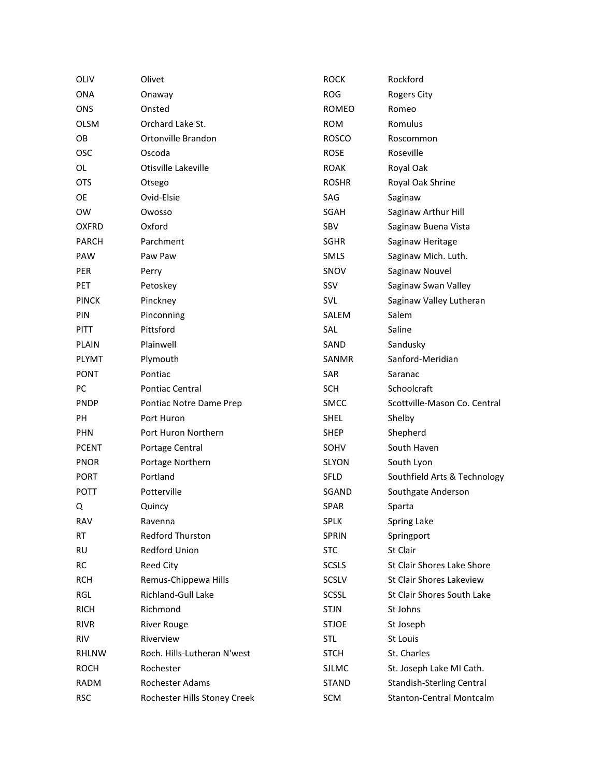| OLIV         | Olivet                       | <b>ROCK</b>  | Rockford                         |
|--------------|------------------------------|--------------|----------------------------------|
| <b>ONA</b>   | Onaway                       | <b>ROG</b>   | Rogers City                      |
| <b>ONS</b>   | Onsted                       | ROMEO        | Romeo                            |
| <b>OLSM</b>  | Orchard Lake St.             | <b>ROM</b>   | Romulus                          |
| OB           | Ortonville Brandon           | <b>ROSCO</b> | Roscommon                        |
| <b>OSC</b>   | Oscoda                       | ROSE         | Roseville                        |
| OL           | Otisville Lakeville          | <b>ROAK</b>  | Royal Oak                        |
| <b>OTS</b>   | Otsego                       | <b>ROSHR</b> | Royal Oak Shrine                 |
| OE           | Ovid-Elsie                   | SAG          | Saginaw                          |
| <b>OW</b>    | Owosso                       | SGAH         | Saginaw Arthur Hill              |
| <b>OXFRD</b> | Oxford                       | <b>SBV</b>   | Saginaw Buena Vista              |
| <b>PARCH</b> | Parchment                    | <b>SGHR</b>  | Saginaw Heritage                 |
| <b>PAW</b>   | Paw Paw                      | <b>SMLS</b>  | Saginaw Mich. Luth.              |
| <b>PER</b>   | Perry                        | SNOV         | Saginaw Nouvel                   |
| <b>PET</b>   | Petoskey                     | <b>SSV</b>   | Saginaw Swan Valley              |
| <b>PINCK</b> | Pinckney                     | SVL          | Saginaw Valley Lutheran          |
| <b>PIN</b>   | Pinconning                   | SALEM        | Salem                            |
| <b>PITT</b>  | Pittsford                    | SAL          | Saline                           |
| PLAIN        | Plainwell                    | SAND         | Sandusky                         |
| <b>PLYMT</b> | Plymouth                     | SANMR        | Sanford-Meridian                 |
| <b>PONT</b>  | Pontiac                      | <b>SAR</b>   | Saranac                          |
| PC           | <b>Pontiac Central</b>       | <b>SCH</b>   | Schoolcraft                      |
| <b>PNDP</b>  | Pontiac Notre Dame Prep      | <b>SMCC</b>  | Scottville-Mason Co. Central     |
| PH           | Port Huron                   | <b>SHEL</b>  | Shelby                           |
| <b>PHN</b>   | Port Huron Northern          | SHEP         | Shepherd                         |
| <b>PCENT</b> | Portage Central              | SOHV         | South Haven                      |
| <b>PNOR</b>  | Portage Northern             | SLYON        | South Lyon                       |
| <b>PORT</b>  | Portland                     | <b>SFLD</b>  | Southfield Arts & Technology     |
| <b>POTT</b>  | Potterville                  | SGAND        | Southgate Anderson               |
| Q            | Quincy                       | <b>SPAR</b>  | Sparta                           |
| <b>RAV</b>   | Ravenna                      | <b>SPLK</b>  | Spring Lake                      |
| RT           | Redford Thurston             | SPRIN        | Springport                       |
| <b>RU</b>    | Redford Union                | <b>STC</b>   | St Clair                         |
| RC           | Reed City                    | <b>SCSLS</b> | St Clair Shores Lake Shore       |
| <b>RCH</b>   | Remus-Chippewa Hills         | <b>SCSLV</b> | St Clair Shores Lakeview         |
| RGL          | Richland-Gull Lake           | <b>SCSSL</b> | St Clair Shores South Lake       |
| <b>RICH</b>  | Richmond                     | <b>STJN</b>  | St Johns                         |
| <b>RIVR</b>  | <b>River Rouge</b>           | <b>STJOE</b> | St Joseph                        |
| <b>RIV</b>   | Riverview                    | <b>STL</b>   | St Louis                         |
| <b>RHLNW</b> | Roch. Hills-Lutheran N'west  | <b>STCH</b>  | St. Charles                      |
| <b>ROCH</b>  | Rochester                    | <b>SJLMC</b> | St. Joseph Lake MI Cath.         |
| <b>RADM</b>  | Rochester Adams              | <b>STAND</b> | <b>Standish-Sterling Central</b> |
| <b>RSC</b>   | Rochester Hills Stoney Creek | SCM          | <b>Stanton-Central Montcalm</b>  |